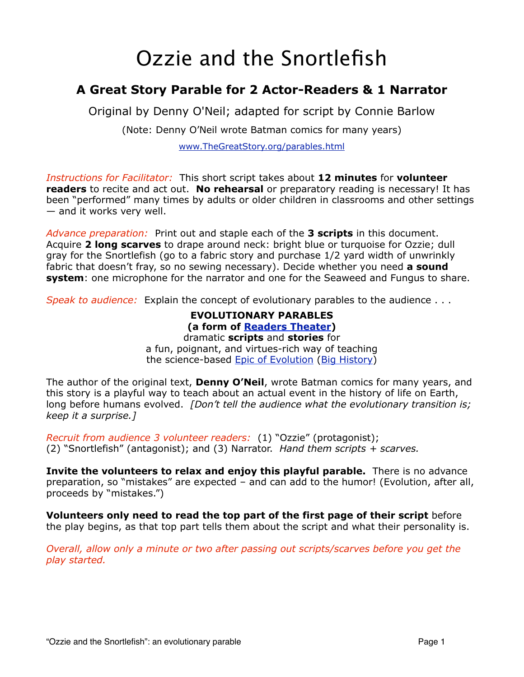# Ozzie and the Snortlefish

# **A Great Story Parable for 2 Actor-Readers & 1 Narrator**

Original by Denny O'Neil; adapted for script by Connie Barlow

(Note: Denny O'Neil wrote Batman comics for many years)

[www.TheGreatStory.org/parables.html](http://www.TheGreatStory.org/parables.html)

*Instructions for Facilitator:* This short script takes about **12 minutes** for **volunteer readers** to recite and act out. **No rehearsal** or preparatory reading is necessary! It has been "performed" many times by adults or older children in classrooms and other settings — and it works very well.

*Advance preparation:* Print out and staple each of the **3 scripts** in this document. Acquire **2 long scarves** to drape around neck: bright blue or turquoise for Ozzie; dull gray for the Snortlefish (go to a fabric story and purchase 1/2 yard width of unwrinkly fabric that doesn't fray, so no sewing necessary). Decide whether you need **a sound system**: one microphone for the narrator and one for the Seaweed and Fungus to share.

*Speak to audience:* Explain the concept of evolutionary parables to the audience . . .

#### **EVOLUTIONARY PARABLES (a form of [Readers Theater\)](http://en.wikipedia.org/wiki/Reader)** dramatic **scripts** and **stories** for

a fun, poignant, and virtues-rich way of teaching the science-based [Epic of Evolution](http://www.thegreatstory.org/what_is.html) [\(Big History\)](http://en.wikipedia.org/wiki/Big_History)

The author of the original text, **Denny O'Neil**, wrote Batman comics for many years, and this story is a playful way to teach about an actual event in the history of life on Earth, long before humans evolved. *[Don't tell the audience what the evolutionary transition is; keep it a surprise.]*

*Recruit from audience 3 volunteer readers:* (1) "Ozzie" (protagonist); (2) "Snortlefish" (antagonist); and (3) Narrator. *Hand them scripts + scarves.*

**Invite the volunteers to relax and enjoy this playful parable.** There is no advance preparation, so "mistakes" are expected – and can add to the humor! (Evolution, after all, proceeds by "mistakes.")

**Volunteers only need to read the top part of the first page of their script** before the play begins, as that top part tells them about the script and what their personality is.

*Overall, allow only a minute or two after passing out scripts/scarves before you get the play started.*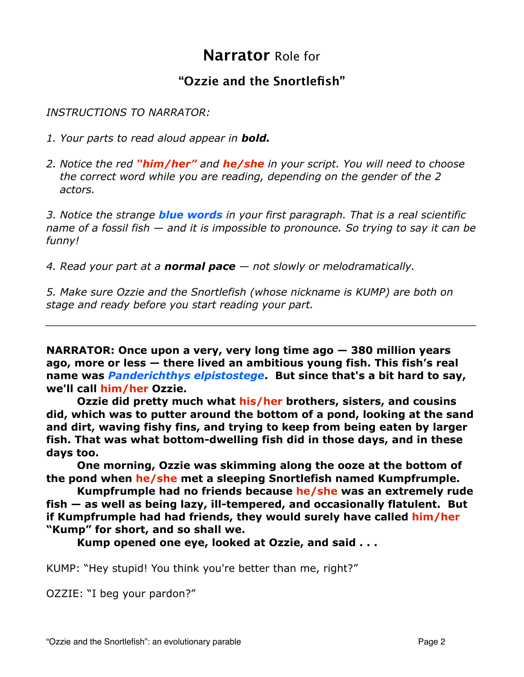# **Narrator** Role for

# **"Ozzie and the Snortlefish"**

*INSTRUCTIONS TO NARRATOR:*

- *1. Your parts to read aloud appear in bold.*
- *2. Notice the red "him/her" and he/she in your script. You will need to choose the correct word while you are reading, depending on the gender of the 2 actors.*

*3. Notice the strange blue words in your first paragraph. That is a real scientific name of a fossil fish — and it is impossible to pronounce. So trying to say it can be funny!*

*4. Read your part at a normal pace — not slowly or melodramatically.*

*5. Make sure Ozzie and the Snortlefish (whose nickname is KUMP) are both on stage and ready before you start reading your part.*

**NARRATOR: Once upon a very, very long time ago — 380 million years ago, more or less — there lived an ambitious young fish. This fish's real name was** *Panderichthys elpistostege***. But since that's a bit hard to say, we'll call him/her Ozzie.**

*\_\_\_\_\_\_\_\_\_\_\_\_\_\_\_\_\_\_\_\_\_\_\_\_\_\_\_\_\_\_\_\_\_\_\_\_\_\_\_\_\_\_\_\_\_\_\_\_\_\_\_\_\_\_\_\_\_\_\_\_\_\_\_\_\_\_*

**Ozzie did pretty much what his/her brothers, sisters, and cousins did, which was to putter around the bottom of a pond, looking at the sand and dirt, waving fishy fins, and trying to keep from being eaten by larger fish. That was what bottom-dwelling fish did in those days, and in these days too.**

**One morning, Ozzie was skimming along the ooze at the bottom of the pond when he/she met a sleeping Snortlefish named Kumpfrumple.**

**Kumpfrumple had no friends because he/she was an extremely rude fish — as well as being lazy, ill-tempered, and occasionally flatulent. But if Kumpfrumple had had friends, they would surely have called him/her "Kump" for short, and so shall we.**

**Kump opened one eye, looked at Ozzie, and said . . .**

KUMP: "Hey stupid! You think you're better than me, right?"

OZZIE: "I beg your pardon?"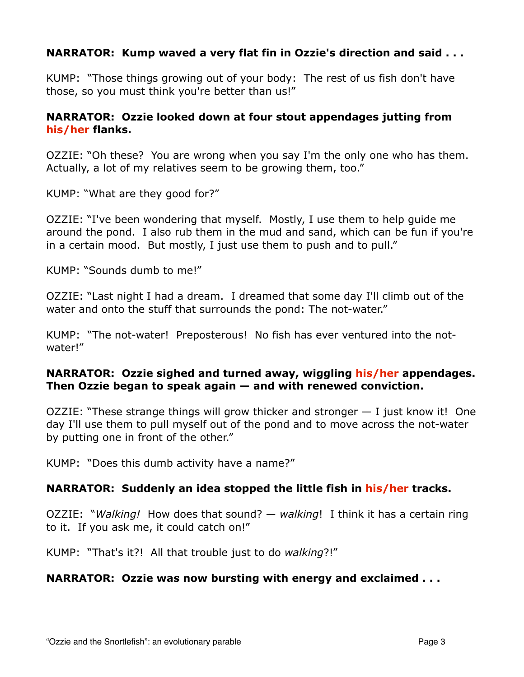# **NARRATOR: Kump waved a very flat fin in Ozzie's direction and said . . .**

KUMP: "Those things growing out of your body: The rest of us fish don't have those, so you must think you're better than us!"

# **NARRATOR: Ozzie looked down at four stout appendages jutting from his/her flanks.**

OZZIE: "Oh these? You are wrong when you say I'm the only one who has them. Actually, a lot of my relatives seem to be growing them, too."

KUMP: "What are they good for?"

OZZIE: "I've been wondering that myself. Mostly, I use them to help guide me around the pond. I also rub them in the mud and sand, which can be fun if you're in a certain mood. But mostly, I just use them to push and to pull."

KUMP: "Sounds dumb to me!"

OZZIE: "Last night I had a dream. I dreamed that some day I'll climb out of the water and onto the stuff that surrounds the pond: The not-water."

KUMP: "The not-water! Preposterous! No fish has ever ventured into the notwater!"

# **NARRATOR: Ozzie sighed and turned away, wiggling his/her appendages. Then Ozzie began to speak again — and with renewed conviction.**

OZZIE: "These strange things will grow thicker and stronger — I just know it! One day I'll use them to pull myself out of the pond and to move across the not-water by putting one in front of the other."

KUMP: "Does this dumb activity have a name?"

#### **NARRATOR: Suddenly an idea stopped the little fish in his/her tracks.**

OZZIE: "*Walking!* How does that sound? — *walking*! I think it has a certain ring to it. If you ask me, it could catch on!"

KUMP: "That's it?! All that trouble just to do *walking*?!"

#### **NARRATOR: Ozzie was now bursting with energy and exclaimed . . .**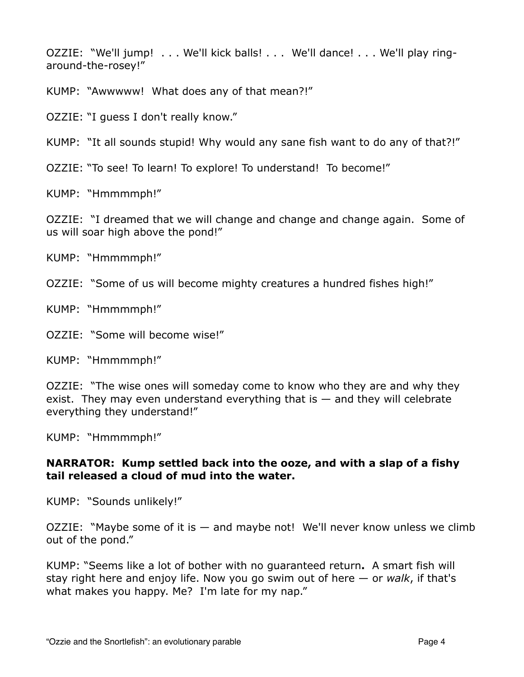OZZIE: "We'll jump! . . . We'll kick balls! . . . We'll dance! . . . We'll play ringaround-the-rosey!"

KUMP:"Awwwww! What does any of that mean?!"

OZZIE: "I guess I don't really know."

KUMP: "It all sounds stupid! Why would any sane fish want to do any of that?!"

OZZIE: "To see! To learn! To explore! To understand! To become!"

KUMP: "Hmmmmph!"

OZZIE: "I dreamed that we will change and change and change again. Some of us will soar high above the pond!"

KUMP: "Hmmmmph!"

OZZIE: "Some of us will become mighty creatures a hundred fishes high!"

KUMP: "Hmmmmph!"

OZZIE: "Some will become wise!"

KUMP: "Hmmmmph!"

OZZIE: "The wise ones will someday come to know who they are and why they exist. They may even understand everything that is  $-$  and they will celebrate everything they understand!"

KUMP: "Hmmmmph!"

#### **NARRATOR: Kump settled back into the ooze, and with a slap of a fishy tail released a cloud of mud into the water.**

KUMP: "Sounds unlikely!"

OZZIE: "Maybe some of it is — and maybe not! We'll never know unless we climb out of the pond."

KUMP: "Seems like a lot of bother with no guaranteed return**.** A smart fish will stay right here and enjoy life. Now you go swim out of here — or *walk*, if that's what makes you happy. Me? I'm late for my nap."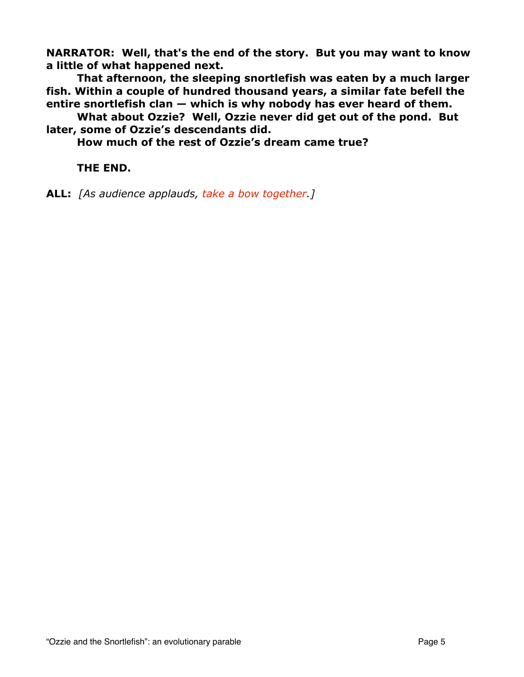**NARRATOR: Well, that's the end of the story. But you may want to know a little of what happened next.**

 **That afternoon, the sleeping snortlefish was eaten by a much larger fish. Within a couple of hundred thousand years, a similar fate befell the entire snortlefish clan — which is why nobody has ever heard of them.**

 **What about Ozzie? Well, Ozzie never did get out of the pond. But later, some of Ozzie's descendants did.**

 **How much of the rest of Ozzie's dream came true?** 

 **THE END.**

**ALL:** *[As audience applauds, take a bow together.]*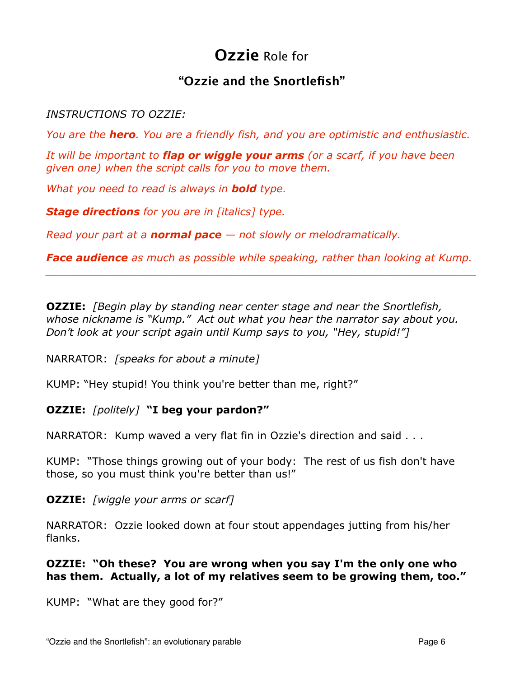# **Ozzie** Role for

# **"Ozzie and the Snortlefish"**

# *INSTRUCTIONS TO OZZIE:*

*You are the hero. You are a friendly fish, and you are optimistic and enthusiastic.* 

*It will be important to flap or wiggle your arms (or a scarf, if you have been given one) when the script calls for you to move them.*

*What you need to read is always in bold type.*

*Stage directions for you are in [italics] type.*

*Read your part at a normal pace — not slowly or melodramatically.*

*Face audience as much as possible while speaking, rather than looking at Kump. \_\_\_\_\_\_\_\_\_\_\_\_\_\_\_\_\_\_\_\_\_\_\_\_\_\_\_\_\_\_\_\_\_\_\_\_\_\_\_\_\_\_\_\_\_\_\_\_\_\_\_\_\_\_\_\_\_\_\_\_\_\_\_\_\_\_*

**OZZIE:** *[Begin play by standing near center stage and near the Snortlefish, whose nickname is "Kump." Act out what you hear the narrator say about you. Don't look at your script again until Kump says to you, "Hey, stupid!"]*

NARRATOR: *[speaks for about a minute]*

KUMP: "Hey stupid! You think you're better than me, right?"

# **OZZIE:** *[politely]* **"I beg your pardon?"**

NARRATOR: Kump waved a very flat fin in Ozzie's direction and said . . .

KUMP: "Those things growing out of your body: The rest of us fish don't have those, so you must think you're better than us!"

**OZZIE:** *[wiggle your arms or scarf]*

NARRATOR: Ozzie looked down at four stout appendages jutting from his/her flanks.

# **OZZIE: "Oh these? You are wrong when you say I'm the only one who has them. Actually, a lot of my relatives seem to be growing them, too."**

KUMP: "What are they good for?"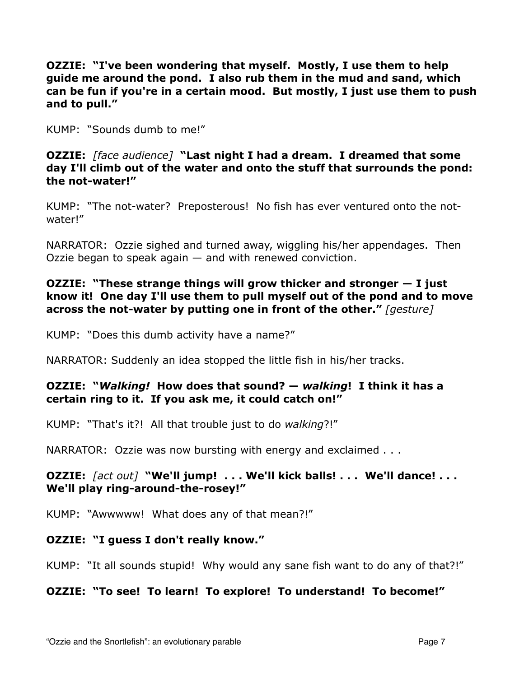**OZZIE: "I've been wondering that myself. Mostly, I use them to help guide me around the pond. I also rub them in the mud and sand, which can be fun if you're in a certain mood. But mostly, I just use them to push and to pull."**

KUMP: "Sounds dumb to me!"

**OZZIE:** *[face audience]* **"Last night I had a dream. I dreamed that some day I'll climb out of the water and onto the stuff that surrounds the pond: the not-water!"**

KUMP: "The not-water? Preposterous! No fish has ever ventured onto the notwater!"

NARRATOR: Ozzie sighed and turned away, wiggling his/her appendages. Then Ozzie began to speak again — and with renewed conviction.

# **OZZIE: "These strange things will grow thicker and stronger — I just know it! One day I'll use them to pull myself out of the pond and to move across the not-water by putting one in front of the other."** *[gesture]*

KUMP: "Does this dumb activity have a name?"

NARRATOR: Suddenly an idea stopped the little fish in his/her tracks.

# **OZZIE: "***Walking!* **How does that sound? —** *walking***! I think it has a certain ring to it. If you ask me, it could catch on!"**

KUMP: "That's it?! All that trouble just to do *walking*?!"

NARRATOR: Ozzie was now bursting with energy and exclaimed . . .

# **OZZIE:** *[act out]* **"We'll jump! . . . We'll kick balls! . . . We'll dance! . . . We'll play ring-around-the-rosey!"**

KUMP: "Awwwww! What does any of that mean?!"

# **OZZIE: "I guess I don't really know."**

KUMP: "It all sounds stupid! Why would any sane fish want to do any of that?!"

# **OZZIE: "To see! To learn! To explore! To understand! To become!"**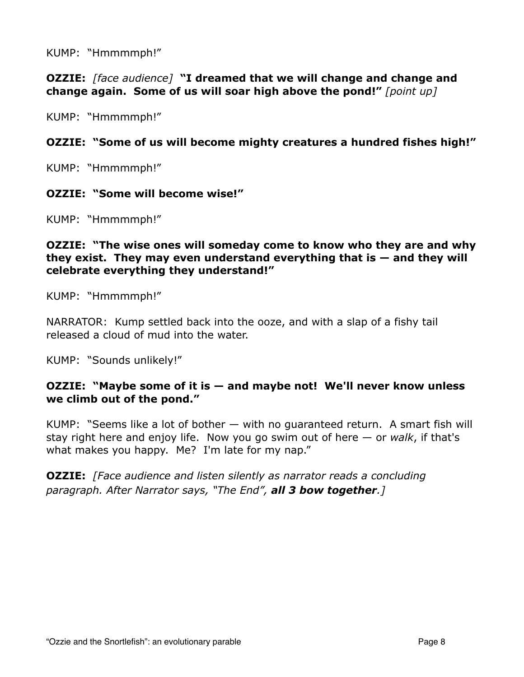KUMP: "Hmmmmph!"

**OZZIE:** *[face audience]* **"I dreamed that we will change and change and change again. Some of us will soar high above the pond!"** *[point up]*

KUMP: "Hmmmmph!"

# **OZZIE: "Some of us will become mighty creatures a hundred fishes high!"**

KUMP: "Hmmmmph!"

#### **OZZIE: "Some will become wise!"**

KUMP: "Hmmmmph!"

#### **OZZIE: "The wise ones will someday come to know who they are and why they exist. They may even understand everything that is — and they will celebrate everything they understand!"**

KUMP: "Hmmmmph!"

NARRATOR: Kump settled back into the ooze, and with a slap of a fishy tail released a cloud of mud into the water.

KUMP: "Sounds unlikely!"

#### **OZZIE: "Maybe some of it is — and maybe not! We'll never know unless we climb out of the pond."**

KUMP: "Seems like a lot of bother — with no guaranteed return. A smart fish will stay right here and enjoy life. Now you go swim out of here — or *walk*, if that's what makes you happy. Me? I'm late for my nap."

**OZZIE:** *[Face audience and listen silently as narrator reads a concluding paragraph. After Narrator says, "The End", all 3 bow together.]*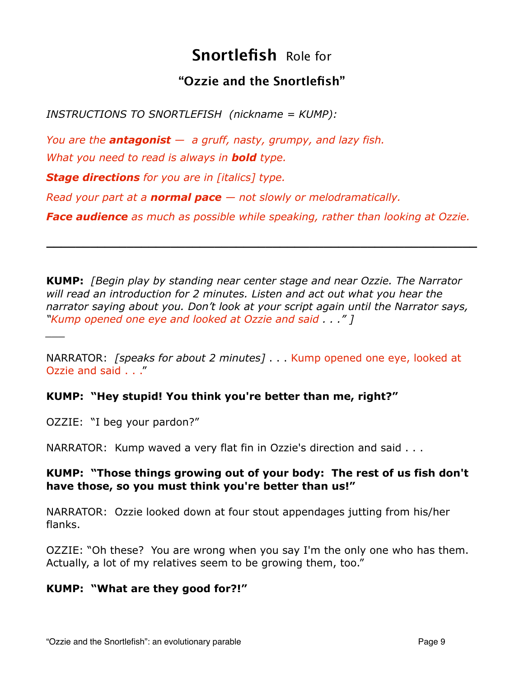# **Snortlefish** Role for

# **"Ozzie and the Snortlefish"**

*INSTRUCTIONS TO SNORTLEFISH (nickname = KUMP):*

*You are the antagonist — a gruff, nasty, grumpy, and lazy fish. What you need to read is always in bold type.*

*Stage directions for you are in [italics] type.*

*Read your part at a normal pace — not slowly or melodramatically.*

*Face audience as much as possible while speaking, rather than looking at Ozzie.*

**\_\_\_\_\_\_\_\_\_\_\_\_\_\_\_\_\_\_\_\_\_\_\_\_\_\_\_\_\_\_\_\_\_\_\_\_\_\_\_\_\_\_\_\_\_\_\_\_\_\_\_\_\_\_\_\_\_\_\_**

**KUMP:** *[Begin play by standing near center stage and near Ozzie. The Narrator will read an introduction for 2 minutes. Listen and act out what you hear the narrator saying about you. Don't look at your script again until the Narrator says, "Kump opened one eye and looked at Ozzie and said . . ." ]*

NARRATOR: *[speaks for about 2 minutes]* . . . Kump opened one eye, looked at Ozzie and said . . ."

# **KUMP: "Hey stupid! You think you're better than me, right?"**

OZZIE: "I beg your pardon?"

*\_\_\_*

NARRATOR: Kump waved a very flat fin in Ozzie's direction and said . . .

# **KUMP: "Those things growing out of your body: The rest of us fish don't have those, so you must think you're better than us!"**

NARRATOR: Ozzie looked down at four stout appendages jutting from his/her flanks.

OZZIE: "Oh these? You are wrong when you say I'm the only one who has them. Actually, a lot of my relatives seem to be growing them, too."

# **KUMP: "What are they good for?!"**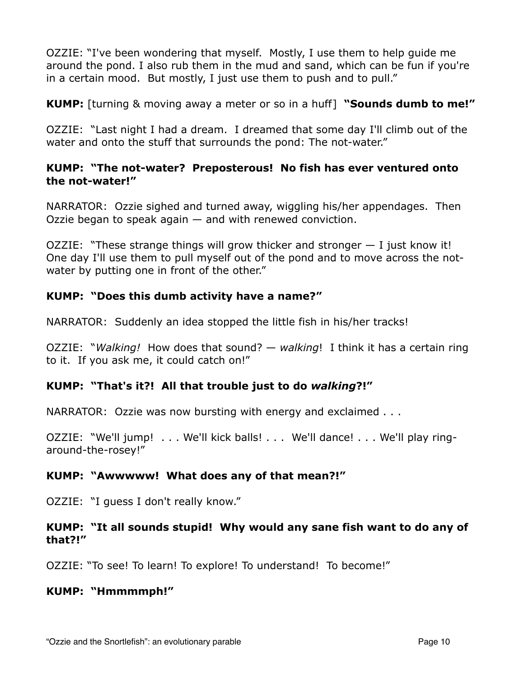OZZIE: "I've been wondering that myself. Mostly, I use them to help guide me around the pond. I also rub them in the mud and sand, which can be fun if you're in a certain mood. But mostly, I just use them to push and to pull."

**KUMP:** [turning & moving away a meter or so in a huff] **"Sounds dumb to me!"**

OZZIE: "Last night I had a dream. I dreamed that some day I'll climb out of the water and onto the stuff that surrounds the pond: The not-water."

# **KUMP: "The not-water? Preposterous! No fish has ever ventured onto the not-water!"**

NARRATOR: Ozzie sighed and turned away, wiggling his/her appendages. Then Ozzie began to speak again — and with renewed conviction.

OZZIE: "These strange things will grow thicker and stronger — I just know it! One day I'll use them to pull myself out of the pond and to move across the notwater by putting one in front of the other."

# **KUMP: "Does this dumb activity have a name?"**

NARRATOR: Suddenly an idea stopped the little fish in his/her tracks!

OZZIE: "*Walking!* How does that sound? — *walking*! I think it has a certain ring to it. If you ask me, it could catch on!"

# **KUMP: "That's it?! All that trouble just to do** *walking***?!"**

NARRATOR: Ozzie was now bursting with energy and exclaimed . . .

OZZIE: "We'll jump! . . . We'll kick balls! . . . We'll dance! . . . We'll play ringaround-the-rosey!"

# **KUMP: "Awwwww! What does any of that mean?!"**

OZZIE: "I guess I don't really know."

# **KUMP: "It all sounds stupid! Why would any sane fish want to do any of that?!"**

OZZIE: "To see! To learn! To explore! To understand! To become!"

# **KUMP: "Hmmmmph!"**